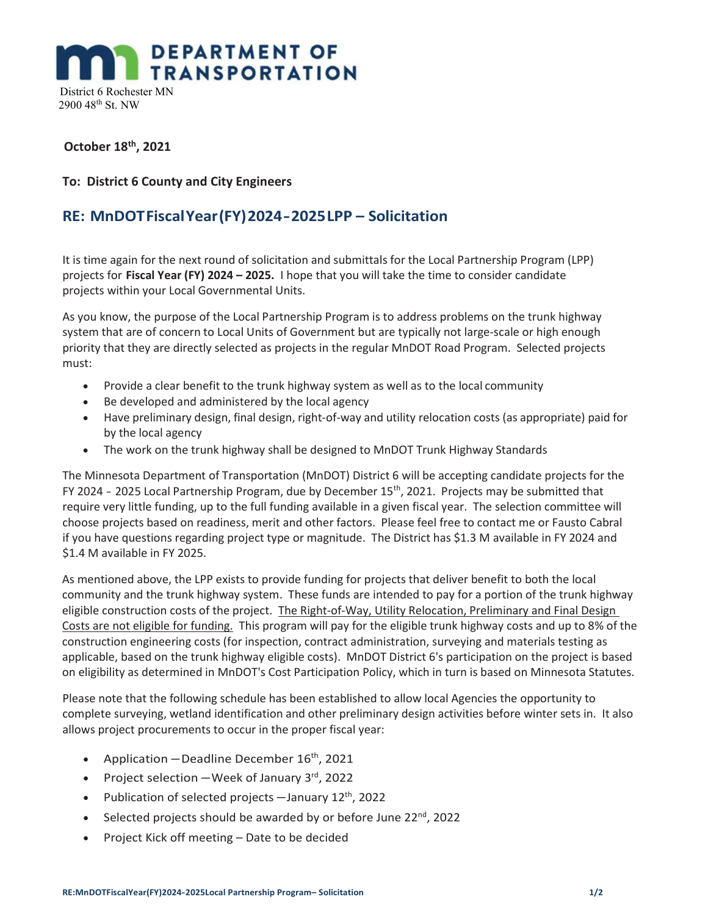## **DEPARTMENT OF TRANSPORTATION**

 District 6 Rochester MN 2900 48th St. NW

#### October 18th, 2021

#### To: District 6 County and City Engineers

### RE: MnDOT Fiscal Year (FY) 2024 - 2025 LPP – Solicitation

It is time again for the next round of solicitation and submittals for the Local Partnership Program (LPP) projects for Fiscal Year (FY) 2024 – 2025. I hope that you will take the time to consider candidate projects within your Local Governmental Units.

As you know, the purpose of the Local Partnership Program is to address problems on the trunk highway system that are of concern to Local Units of Government but are typically not large-scale or high enough priority that they are directly selected as projects in the regular MnDOT Road Program. Selected projects must:

- Provide a clear benefit to the trunk highway system as well as to the local community
- Be developed and administered by the local agency
- Have preliminary design, final design, right-of-way and utility relocation costs (as appropriate) paid for by the local agency
- The work on the trunk highway shall be designed to MnDOT Trunk Highway Standards

The Minnesota Department of Transportation (MnDOT) District 6 will be accepting candidate projects for the FY 2024 - 2025 Local Partnership Program, due by December  $15<sup>th</sup>$ , 2021. Projects may be submitted that require very little funding, up to the full funding available in a given fiscal year. The selection committee will choose projects based on readiness, merit and other factors. Please feel free to contact me or Fausto Cabral if you have questions regarding project type or magnitude. The District has \$1.3 M available in FY 2024 and \$1.4 M available in FY 2025.

As mentioned above, the LPP exists to provide funding for projects that deliver benefit to both the local community and the trunk highway system. These funds are intended to pay for a portion of the trunk highway eligible construction costs of the project. The Right-of-Way, Utility Relocation, Preliminary and Final Design Costs are not eligible for funding. This program will pay for the eligible trunk highway costs and up to 8% of the construction engineering costs (for inspection, contract administration, surveying and materials testing as applicable, based on the trunk highway eligible costs). MnDOT District 6's participation on the project is based on eligibility as determined in MnDOT's Cost Participation Policy, which in turn is based on Minnesota Statutes.

Please note that the following schedule has been established to allow local Agencies the opportunity to complete surveying, wetland identification and other preliminary design activities before winter sets in. It also allows project procurements to occur in the proper fiscal year:

- Application Deadline December  $16^{th}$ , 2021
- Project selection  $-$  Week of January 3<sup>rd</sup>, 2022
- Publication of selected projects  $-$  January 12<sup>th</sup>, 2022
- $\bullet$  Selected projects should be awarded by or before June 22<sup>nd</sup>, 2022
- Project Kick off meeting Date to be decided